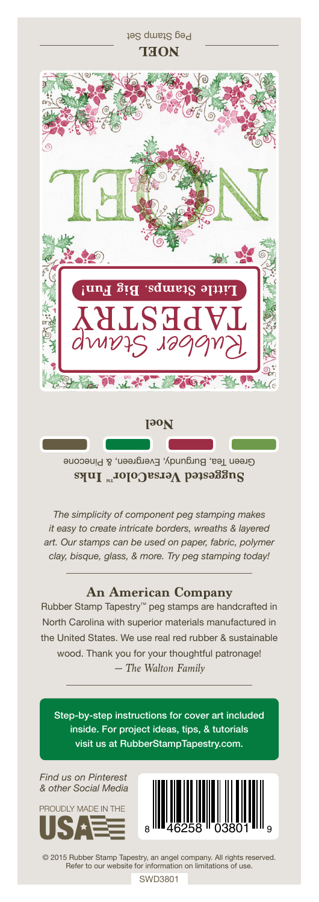

Suggested VersaColor<sup>m</sup> Inks

*The simplicity of component peg stamping makes it easy to create intricate borders, wreaths & layered art. Our stamps can be used on paper, fabric, polymer clay, bisque, glass, & more. Try peg stamping today!*

## **An American Company**

*— The Walton Family* Rubber Stamp Tapestry™ peg stamps are handcrafted in North Carolina with superior materials manufactured in the United States. We use real red rubber & sustainable wood. Thank you for your thoughtful patronage!

Step-by-step instructions for cover art included inside. For project ideas, tips, & tutorials visit us at RubberStampTapestry.com.

*Find us on Pinterest & other Social Media*





© 2015 Rubber Stamp Tapestry, an angel company. All rights reserved. Refer to our website for information on limitations of use.